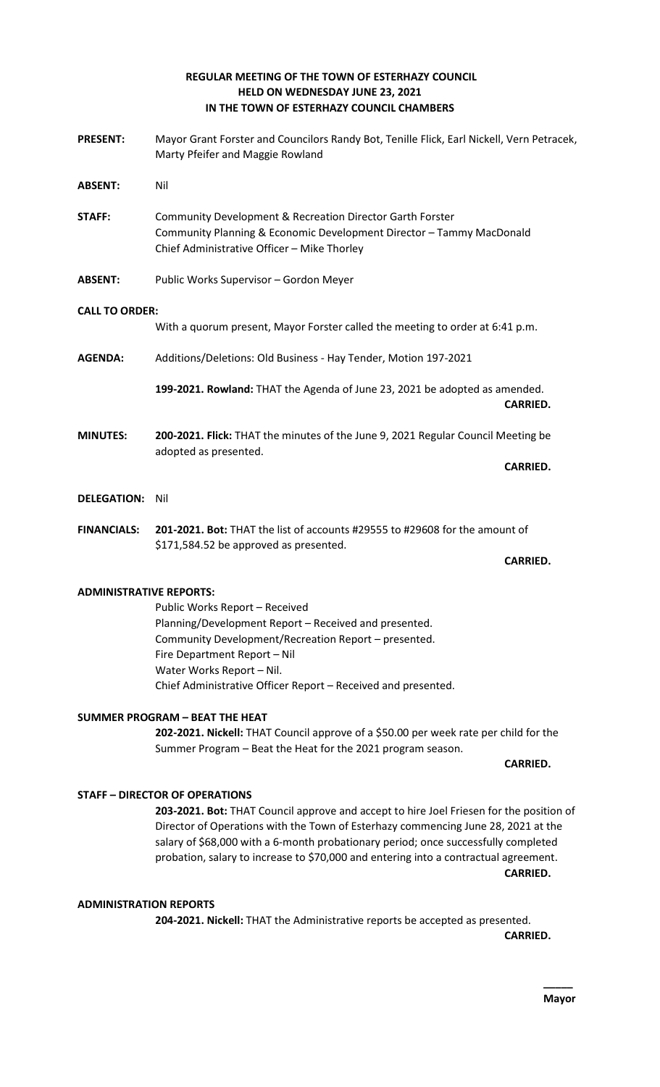## **REGULAR MEETING OF THE TOWN OF ESTERHAZY COUNCIL HELD ON WEDNESDAY JUNE 23, 2021 IN THE TOWN OF ESTERHAZY COUNCIL CHAMBERS**

**PRESENT:** Mayor Grant Forster and Councilors Randy Bot, Tenille Flick, Earl Nickell, Vern Petracek, Marty Pfeifer and Maggie Rowland **ABSENT:** Nil **STAFF:** Community Development & Recreation Director Garth Forster Community Planning & Economic Development Director – Tammy MacDonald Chief Administrative Officer – Mike Thorley **ABSENT:** Public Works Supervisor – Gordon Meyer **CALL TO ORDER:** With a quorum present, Mayor Forster called the meeting to order at 6:41 p.m. **AGENDA:** Additions/Deletions: Old Business - Hay Tender, Motion 197-2021 **199-2021. Rowland:** THAT the Agenda of June 23, 2021 be adopted as amended. **CARRIED. MINUTES: 200-2021. Flick:** THAT the minutes of the June 9, 2021 Regular Council Meeting be adopted as presented. **CARRIED. DELEGATION:** Nil **FINANCIALS: 201-2021. Bot:** THAT the list of accounts #29555 to #29608 for the amount of \$171,584.52 be approved as presented. **CARRIED. ADMINISTRATIVE REPORTS:**

Public Works Report – Received Planning/Development Report – Received and presented. Community Development/Recreation Report – presented. Fire Department Report – Nil Water Works Report – Nil. Chief Administrative Officer Report – Received and presented.

# **SUMMER PROGRAM – BEAT THE HEAT**

**202-2021. Nickell:** THAT Council approve of a \$50.00 per week rate per child for the Summer Program – Beat the Heat for the 2021 program season.

### **CARRIED.**

# **STAFF – DIRECTOR OF OPERATIONS**

**203-2021. Bot:** THAT Council approve and accept to hire Joel Friesen for the position of Director of Operations with the Town of Esterhazy commencing June 28, 2021 at the salary of \$68,000 with a 6-month probationary period; once successfully completed probation, salary to increase to \$70,000 and entering into a contractual agreement. **CARRIED.** 

### **ADMINISTRATION REPORTS**

**204-2021. Nickell:** THAT the Administrative reports be accepted as presented.

**CARRIED.**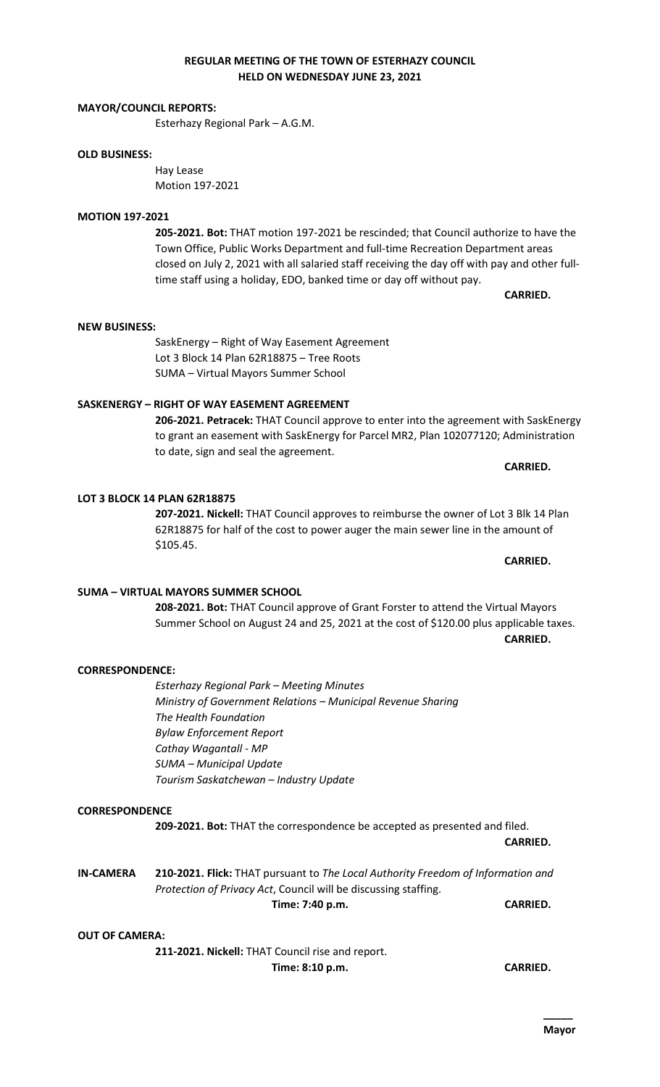# **REGULAR MEETING OF THE TOWN OF ESTERHAZY COUNCIL HELD ON WEDNESDAY JUNE 23, 2021**

## **MAYOR/COUNCIL REPORTS:**

Esterhazy Regional Park – A.G.M.

## **OLD BUSINESS:**

Hay Lease Motion 197-2021

## **MOTION 197-2021**

**205-2021. Bot:** THAT motion 197-2021 be rescinded; that Council authorize to have the Town Office, Public Works Department and full-time Recreation Department areas closed on July 2, 2021 with all salaried staff receiving the day off with pay and other fulltime staff using a holiday, EDO, banked time or day off without pay.

**CARRIED.** 

## **NEW BUSINESS:**

SaskEnergy – Right of Way Easement Agreement Lot 3 Block 14 Plan 62R18875 – Tree Roots SUMA – Virtual Mayors Summer School

# **SASKENERGY – RIGHT OF WAY EASEMENT AGREEMENT**

**206-2021. Petracek:** THAT Council approve to enter into the agreement with SaskEnergy to grant an easement with SaskEnergy for Parcel MR2, Plan 102077120; Administration to date, sign and seal the agreement.

**LOT 3 BLOCK 14 PLAN 62R18875**

**207-2021. Nickell:** THAT Council approves to reimburse the owner of Lot 3 Blk 14 Plan 62R18875 for half of the cost to power auger the main sewer line in the amount of \$105.45.

**SUMA – VIRTUAL MAYORS SUMMER SCHOOL 208-2021. Bot:** THAT Council approve of Grant Forster to attend the Virtual Mayors Summer School on August 24 and 25, 2021 at the cost of \$120.00 plus applicable taxes. **CARRIED.** 

## **CORRESPONDENCE:**

*Esterhazy Regional Park – Meeting Minutes Ministry of Government Relations – Municipal Revenue Sharing The Health Foundation Bylaw Enforcement Report Cathay Wagantall - MP SUMA – Municipal Update Tourism Saskatchewan – Industry Update*

## **CORRESPONDENCE**

**209-2021. Bot:** THAT the correspondence be accepted as presented and filed.

**CARRIED.** 

**IN-CAMERA 210-2021. Flick:** THAT pursuant to *The Local Authority Freedom of Information and Protection of Privacy Act*, Council will be discussing staffing. **Time: 7:40 p.m. CARRIED.** 

## **OUT OF CAMERA:**

**211-2021. Nickell:** THAT Council rise and report. **Time: 8:10 p.m. CARRIED.** 

# **CARRIED.**

### **CARRIED.**